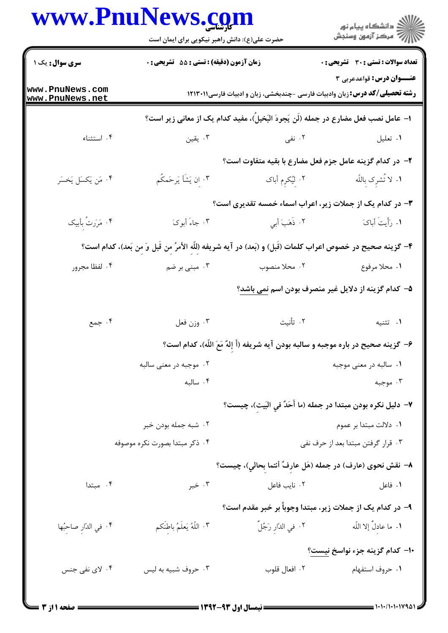|                                    | www.PnuNews.com<br>حضرت علی(ع): دانش راهبر نیکویی برای ایمان است                                           |                 | ڪ دانشڪاه پيا <sub>م</sub> نور<br>۾ مرڪز آزمون وسنجش                                |
|------------------------------------|------------------------------------------------------------------------------------------------------------|-----------------|-------------------------------------------------------------------------------------|
| سری سوال : یک ۱                    | زمان آزمون (دقیقه) : تستی : 55 آتشریحی : 0                                                                 |                 | <b>تعداد سوالات : تستی : 30 ٪ تشریحی : 0</b><br><b>عنـــوان درس:</b> قواعدعربي ۳    |
| www.PnuNews.com<br>www.PnuNews.net |                                                                                                            |                 | <b>رشته تحصیلی/کد درس:</b> زبان وادبیات فارسی -چندبخشی، زبان و ادبیات فارسی۱۲۱۳۰۱۱  |
|                                    |                                                                                                            |                 | ا– عامل نصب فعل مضارع در جمله (لَن يَجودَ البَخيلَ)، مفيد كدام يک از معانى زير است؟ |
| ۰۴ استثناء                         | ۰۳ يقين                                                                                                    | ۲. نفی          | ٠١. تعليل                                                                           |
|                                    |                                                                                                            |                 | ۲- در کدام گزینه عامل جزم فعل مضارع با بقیه متفاوت است؟                             |
| ۴. مَن يَكسَل يَخسَر               | ۰۳ ان يَشَأْ يَرحَمكُم                                                                                     | ۲. لیُکرم أباک  | ۰۱ لا تُشرک باللّه                                                                  |
|                                    |                                                                                                            |                 | ۳- در کدام یک از جملات زیر، اعراب اسماء خمسه تقدیری است؟                            |
| ۰۴ مَرَرتُ بأبيك                   | ۰۳ جاءَ أبوکَ                                                                                              | ٢. ذَهَبَ أَبِي | ١. رَأَيتَ أباكَ                                                                    |
|                                    | ۴- گزينه صحيح در خصوص اعراب كلمات (قَبل) و (بَعد) در آيه شريفه (للّه الأمرُ من قَبل وَ من بَعد)، كدام است؟ |                 |                                                                                     |
| ۰۴ لفظا مجرور                      | ۰۳ مبنی بر ضم                                                                                              | ۰۲ محلا منصوب   | ٠١. محلا مرفوع                                                                      |
|                                    |                                                                                                            |                 | ۵– کدام گزینه از دلایل غیر منصرف بودن اسم <u>نمی باشد</u> ؟                         |
| ۰۴ جمع                             | ۰۳ وزن فعل                                                                                                 | ۰۲ تأنيث        | ۰۱ تثنيه                                                                            |
|                                    |                                                                                                            |                 | ۶- گزینه صحیح در باره موجبه و سالبه بودن آیه شریفه (أَ إِلهٌ مَعَ اللّه)، کدام است؟ |
|                                    | ۰۲ موجبه در معنی سالبه                                                                                     |                 | ۰۱ سالبه در معنی موجبه                                                              |
|                                    | ۰۴ سالبه                                                                                                   |                 | ۰۳ موجبه                                                                            |
|                                    |                                                                                                            |                 | ٧– دليل نكره بودن مبتدا در جمله (ما أَحَدٌ في البَيت)، چيست؟                        |
|                                    | ۰۲ شبه جمله بودن خبر                                                                                       |                 | ۰۱ دلالت مبتدا بر عموم                                                              |
|                                    | ۰۴ ذکر مبتدا بصورت نکره موصوفه                                                                             |                 | ۰۳ قرار گرفتن مبتدا بعد از حرف نفي                                                  |
|                                    |                                                                                                            |                 | ٨− نقش نحوى (عارف) در جمله (هَل عارفٌ أنتما بحالي)، چيست؟                           |
| ۰۴ مبتدا                           | ۰۳ خبر                                                                                                     | ۰۲ نایب فاعل    | ۰۱ فاعل                                                                             |
|                                    |                                                                                                            |                 | ۹– در کدام یک از جملات زیر، مبتدا وجوباً بر خبر مقدم است؟                           |
| ۰۴ في الدّارِ صاحِبُها             | ٠٣ اللَّهُ يَعلَمُ باطِنَكم                                                                                |                 | ١. ما عادلٌ إلا اللّه صبح الله عادلٌ إلا اللّه عن الدّارِ رَجُلٌ                    |
|                                    |                                                                                                            |                 | +ا– كدام گزينه جزء نواسخ نيست؟                                                      |
| ۰۴ لای نفی جنس                     | ۰۳ حروف شبیه به لیس                                                                                        | ۰۲ افعال قلوب   | ٠١. حروف استفهام                                                                    |
|                                    |                                                                                                            |                 |                                                                                     |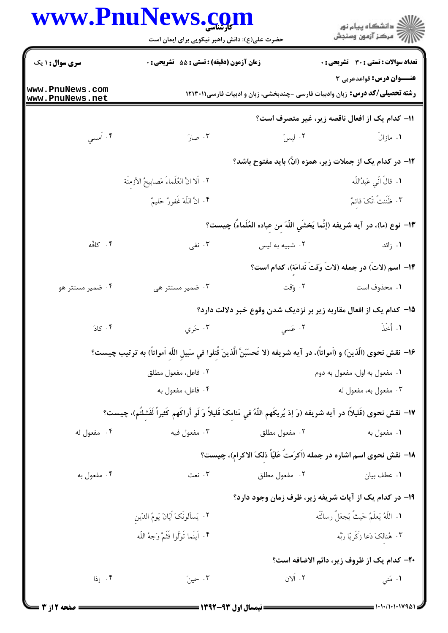## www.PnuNews.com

|                                    | www.PnuNews.com<br>حضرت علی(ع): دانش راهبر نیکویی برای ایمان است                                                         |               | ِ<br>∭ دانشڪاه پيام نور<br>∭ مرڪز آزمون وسنڊش                                                                                 |
|------------------------------------|--------------------------------------------------------------------------------------------------------------------------|---------------|-------------------------------------------------------------------------------------------------------------------------------|
| <b>سری سوال : ۱ یک</b>             | زمان آزمون (دقیقه) : تستی : 55 گشریحی : 0                                                                                |               | تعداد سوالات : تستي : 30 - تشريحي : 0                                                                                         |
| www.PnuNews.com<br>www.PnuNews.net |                                                                                                                          |               | <b>عنــوان درس:</b> قواعدعربي ٣<br><b>رشته تحصیلی/کد درس:</b> زبان وادبیات فارسی -چندبخشی، زبان و ادبیات فارسی1۲۱۳۰۱۱         |
|                                    |                                                                                                                          |               | 11- كدام يك از افعال ناقصه زير، غير متصرف است؟                                                                                |
| ۴. أمسي                            | ۰۳ صارَ                                                                                                                  |               | ٢. ليسَ<br>۱. مازالَ                                                                                                          |
|                                    |                                                                                                                          |               | ۱۲- در کدام یک از جملات زیر، همزه (انَّ) باید مفتوح باشد؟                                                                     |
|                                    | ٢. آلا انَّ العُلَماءَ مَصابيحُ الأزمنَة                                                                                 |               | ٠١. قالَ انِّي عَبدُاللَّه                                                                                                    |
|                                    | ۴. انَّ اللَّهَ غَفورٌ حَليمٌ                                                                                            |               | ٣. ظَنَنتُ انّکَ قائمٌ                                                                                                        |
|                                    |                                                                                                                          |               | ١٣- نوع (ما)، در آيه شريفه (إنَّما يَخشَي اللَّهَ من عباده العُلَماءُ) چيست؟                                                  |
| ۰۴ کافّه                           | ۰۳ نفی                                                                                                                   |               | ۰ <mark>۱</mark> زائد مستخدم کنیم است. است به لیس است که به ایست که به ایست که به ایست که به ایست که به این که به این که به ا |
|                                    |                                                                                                                          |               | 1۴– اسم (لاتَ) در جمله (لاتَ وَقتَ نَدامَة)، كدام است؟                                                                        |
| ۰۴ ضمیر مستتر هو                   | ۰۳ ضمیر مستتر هی                                                                                                         |               |                                                                                                                               |
|                                    |                                                                                                                          |               | ۱۵– کدام یک از افعال مقاربه زیر بر نزدیک شدن وقوع خبر دلالت دارد؟                                                             |
| ۰۴ کادَ                            | ۰۳ خری                                                                                                                   | ۲. عَسى       | ١. أَخَذَ                                                                                                                     |
|                                    | ١۶- نقش نحوى (الّذين) و (اَمواتاً)، در آيه شريفه (لا تَحسَبَنَّ الّذينَ قُتلوا في سَبيل اللّه اَمواتاً) به ترتيب چيست؟   |               |                                                                                                                               |
|                                    | ۰۲ فاعل، مفعول مطلق                                                                                                      |               | ۰۱ مفعول به اول، مفعول به دوم                                                                                                 |
|                                    | ۰۴ فاعل، مفعول به                                                                                                        |               | ۰۳ مفعول به، مفعول له                                                                                                         |
|                                    | ١٧- نقش نحوى (قَليلاً) در آيه شريفه (وَ إذ يُريكَهم اللَّهُ في مَنامکَ قَليلاً وَ لَو أَراكَهم كَثيراً لَفَشلتَم)، چيست؟ |               |                                                                                                                               |
| ۰۴ مفعول له                        | ۰۳ مفعول فيه                                                                                                             | ۰۲ مفعول مطلق | ۰۱ مفعول به                                                                                                                   |
|                                    |                                                                                                                          |               | ۱۸− نقش نحوی اسم اشاره در جمله (اَکرَمتُ عَلیّاً ذلکَ الاکرام)، چیست؟                                                         |
| ۰۴ مفعول به                        | ۰۳ نعت                                                                                                                   | ۰۲ مفعول مطلق | ۰۱ عطف بیان                                                                                                                   |
|                                    |                                                                                                                          |               | ۱۹- در کدام یک از آیات شریفه زیر، ظرف زمان وجود دارد؟                                                                         |
|                                    | ٢. يَسألونَكَ اَيّانَ يَومُ الدّين                                                                                       |               | ١. اللَّهُ يَعلَمُ حَيثُ يَجعَلُ رسالَتَه                                                                                     |
|                                    | ۴. اَينَما تَوَلُّوا فَثَمَّ وَجهُ اللَّه                                                                                |               | ۰۳ هُنالکَ دَعا زَکَرِیّا رَبَّه                                                                                              |
|                                    |                                                                                                                          |               | <b>۲۰</b> - كدام يك از ظروف زير، دائم الاضافه است؟                                                                            |
| ۰۴ إذا                             | ۰۳ حینَ                                                                                                                  | ۲. آلان       | ۱. مَتي                                                                                                                       |